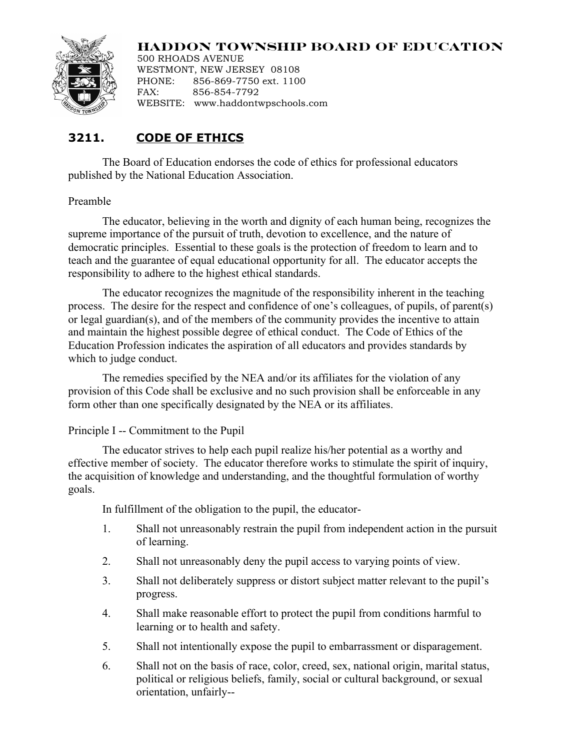## **HADDON TOWNSHIP BOARD OF EDUCATION**



500 RHOADS AVENUE WESTMONT, NEW JERSEY 08108<br>PHONE: 856-869-7750 ext. 1100 856-869-7750 ext. 1100 FAX: 856-854-7792 WEBSITE: www.haddontwpschools.com

## **3211. CODE OF ETHICS**

The Board of Education endorses the code of ethics for professional educators published by the National Education Association.

## Preamble

The educator, believing in the worth and dignity of each human being, recognizes the supreme importance of the pursuit of truth, devotion to excellence, and the nature of democratic principles. Essential to these goals is the protection of freedom to learn and to teach and the guarantee of equal educational opportunity for all. The educator accepts the responsibility to adhere to the highest ethical standards.

The educator recognizes the magnitude of the responsibility inherent in the teaching process. The desire for the respect and confidence of one's colleagues, of pupils, of parent(s) or legal guardian(s), and of the members of the community provides the incentive to attain and maintain the highest possible degree of ethical conduct. The Code of Ethics of the Education Profession indicates the aspiration of all educators and provides standards by which to judge conduct.

The remedies specified by the NEA and/or its affiliates for the violation of any provision of this Code shall be exclusive and no such provision shall be enforceable in any form other than one specifically designated by the NEA or its affiliates.

## Principle I -- Commitment to the Pupil

The educator strives to help each pupil realize his/her potential as a worthy and effective member of society. The educator therefore works to stimulate the spirit of inquiry, the acquisition of knowledge and understanding, and the thoughtful formulation of worthy goals.

In fulfillment of the obligation to the pupil, the educator-

- 1. Shall not unreasonably restrain the pupil from independent action in the pursuit of learning.
- 2. Shall not unreasonably deny the pupil access to varying points of view.
- 3. Shall not deliberately suppress or distort subject matter relevant to the pupil's progress.
- 4. Shall make reasonable effort to protect the pupil from conditions harmful to learning or to health and safety.
- 5. Shall not intentionally expose the pupil to embarrassment or disparagement.
- 6. Shall not on the basis of race, color, creed, sex, national origin, marital status, political or religious beliefs, family, social or cultural background, or sexual orientation, unfairly--